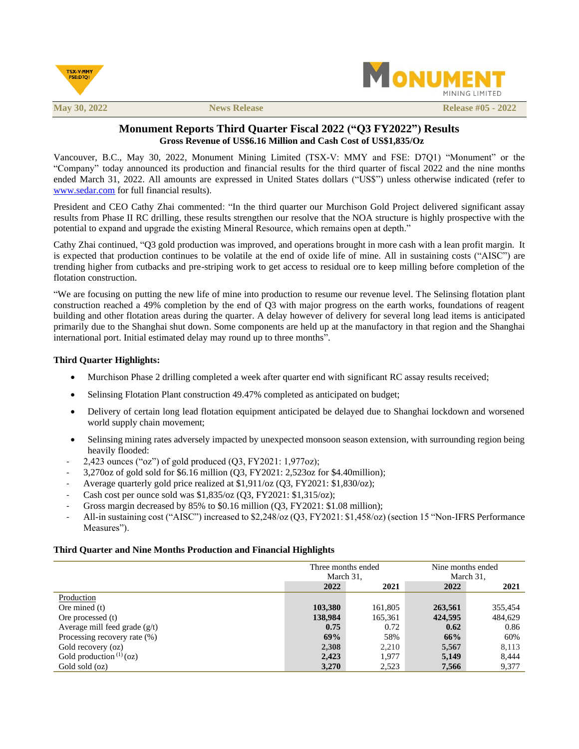



**May** 30, 2022 **News Release #05 -**  $2022$ 

# **Monument Reports Third Quarter Fiscal 2022 ("Q3 FY2022") Results Gross Revenue of US\$6.16 Million and Cash Cost of US\$1,835/Oz**

Vancouver, B.C., May 30, 2022, Monument Mining Limited (TSX-V: MMY and FSE: D7Q1) "Monument" or the "Company" today announced its production and financial results for the third quarter of fiscal 2022 and the nine months ended March 31, 2022. All amounts are expressed in United States dollars ("US\$") unless otherwise indicated (refer to [www.sedar.com](http://www.sedar.com/) for full financial results).

President and CEO Cathy Zhai commented: "In the third quarter our Murchison Gold Project delivered significant assay results from Phase II RC drilling, these results strengthen our resolve that the NOA structure is highly prospective with the potential to expand and upgrade the existing Mineral Resource, which remains open at depth."

Cathy Zhai continued, "Q3 gold production was improved, and operations brought in more cash with a lean profit margin. It is expected that production continues to be volatile at the end of oxide life of mine. All in sustaining costs ("AISC") are trending higher from cutbacks and pre-striping work to get access to residual ore to keep milling before completion of the flotation construction.

"We are focusing on putting the new life of mine into production to resume our revenue level. The Selinsing flotation plant construction reached a 49% completion by the end of Q3 with major progress on the earth works, foundations of reagent building and other flotation areas during the quarter. A delay however of delivery for several long lead items is anticipated primarily due to the Shanghai shut down. Some components are held up at the manufactory in that region and the Shanghai international port. Initial estimated delay may round up to three months".

## **Third Quarter Highlights:**

- Murchison Phase 2 drilling completed a week after quarter end with significant RC assay results received;
- Selinsing Flotation Plant construction 49.47% completed as anticipated on budget;
- Delivery of certain long lead flotation equipment anticipated be delayed due to Shanghai lockdown and worsened world supply chain movement;
- Selinsing mining rates adversely impacted by unexpected monsoon season extension, with surrounding region being heavily flooded:
- 2,423 ounces ("oz") of gold produced (Q3, FY2021: 1,977oz);
- 3,270oz of gold sold for \$6.16 million (Q3, FY2021: 2,523oz for \$4.40million);
- Average quarterly gold price realized at \$1,911/oz (Q3, FY2021: \$1,830/oz);
- Cash cost per ounce sold was \$1,835/oz (Q3, FY2021: \$1,315/oz);
- Gross margin decreased by 85% to \$0.16 million (Q3, FY2021: \$1.08 million);
- All-in sustaining cost ("AISC") increased to \$2,248/oz (Q3, FY2021: \$1,458/oz) (section 15 "Non-IFRS Performance Measures").

## **Third Quarter and Nine Months Production and Financial Highlights**

|                                 | Three months ended<br>March 31, |         |         | Nine months ended<br>March 31, |  |
|---------------------------------|---------------------------------|---------|---------|--------------------------------|--|
|                                 | 2022                            | 2021    | 2022    | 2021                           |  |
| Production                      |                                 |         |         |                                |  |
| Ore mined $(t)$                 | 103,380                         | 161,805 | 263,561 | 355,454                        |  |
| Ore processed (t)               | 138,984                         | 165,361 | 424,595 | 484,629                        |  |
| Average mill feed grade $(g/t)$ | 0.75                            | 0.72    | 0.62    | 0.86                           |  |
| Processing recovery rate (%)    | 69%                             | 58%     | 66%     | 60%                            |  |
| Gold recovery (oz)              | 2,308                           | 2,210   | 5,567   | 8,113                          |  |
| Gold production $(1)(oz)$       | 2,423                           | 1,977   | 5,149   | 8,444                          |  |
| Gold sold (oz)                  | 3,270                           | 2,523   | 7,566   | 9,377                          |  |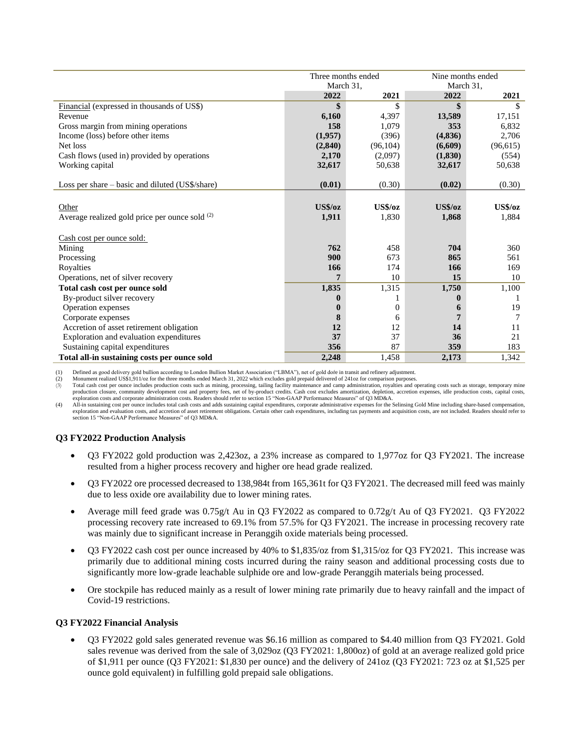|                                                 | Three months ended |           |           | Nine months ended |  |
|-------------------------------------------------|--------------------|-----------|-----------|-------------------|--|
|                                                 | March 31,          |           | March 31, |                   |  |
|                                                 | 2022               | 2021      | 2022      | 2021              |  |
| Financial (expressed in thousands of US\$)      | \$                 | \$        | \$        |                   |  |
| Revenue                                         | 6,160              | 4,397     | 13,589    | 17,151            |  |
| Gross margin from mining operations             | 158                | 1,079     | 353       | 6,832             |  |
| Income (loss) before other items                | (1,957)            | (396)     | (4,836)   | 2,706             |  |
| Net loss                                        | (2,840)            | (96, 104) | (6,609)   | (96, 615)         |  |
| Cash flows (used in) provided by operations     | 2,170              | (2,097)   | (1,830)   | (554)             |  |
| Working capital                                 | 32,617             | 50,638    | 32,617    | 50,638            |  |
|                                                 |                    |           |           |                   |  |
| Loss per share – basic and diluted (US\$/share) | (0.01)             | (0.30)    | (0.02)    | (0.30)            |  |
|                                                 |                    |           |           |                   |  |
| Other                                           | <b>US\$/oz</b>     | US\$/oz   | US\$/oz   | US\$/oz           |  |
| Average realized gold price per ounce sold (2)  | 1,911              | 1,830     | 1,868     | 1,884             |  |
|                                                 |                    |           |           |                   |  |
| Cash cost per ounce sold:                       |                    |           |           |                   |  |
| Mining                                          | 762                | 458       | 704       | 360               |  |
| Processing                                      | 900                | 673       | 865       | 561               |  |
| Royalties                                       | 166                | 174       | 166       | 169               |  |
| Operations, net of silver recovery              | 7                  | 10        | 15        | 10                |  |
| Total cash cost per ounce sold                  | 1,835              | 1,315     | 1,750     | 1,100             |  |
| By-product silver recovery                      | 0                  |           | 0         |                   |  |
| Operation expenses                              | 0                  | 0         | 6         | 19                |  |
| Corporate expenses                              | 8                  | 6         | 7         | 7                 |  |
| Accretion of asset retirement obligation        | 12                 | 12        | 14        | 11                |  |
| Exploration and evaluation expenditures         | 37                 | 37        | 36        | 21                |  |
| Sustaining capital expenditures                 | 356                | 87        | 359       | 183               |  |
| Total all-in sustaining costs per ounce sold    | 2.248              | 1.458     | 2,173     | 1,342             |  |

(1) Defined as good delivery gold bullion according to London Bullion Market Association ("LBMA"), net of gold doŕe in transit and refinery adjustment.

(2) Monument realized US\$1,911/oz for the three months ended March 31, 2022 which excludes gold prepaid delivered of 241oz for comparison purposes.

(3) Total cash cost per ounce includes production costs such as mining, processing, tailing facility maintenance and camp administration, royalties and operating costs such as storage, temporary mine production closure, co exploration costs and corporate administration costs. Readers should refer to section 15 "Non-GAAP Performance Measures" of Q3 MD&A.

(4) All-in sustaining cost per ounce includes total cash costs and adds sustaining capital expenditures, corporate administrative expenses for the Selinsing Gold Mine including share-based compensation, exploration and evaluation costs, and accretion of asset retirement obligations. Certain other cash expenditures, including tax payments and acquisition costs, are not included. Readers should refer to section 15 "Non-GAAP Performance Measures" of O3 MD&A.

## **Q3 FY2022 Production Analysis**

- Q3 FY2022 gold production was 2,423oz, a 23% increase as compared to 1,977oz for Q3 FY2021. The increase resulted from a higher process recovery and higher ore head grade realized.
- Q3 FY2022 ore processed decreased to 138,984t from 165,361t for Q3 FY2021. The decreased mill feed was mainly due to less oxide ore availability due to lower mining rates.
- Average mill feed grade was 0.75g/t Au in Q3 FY2022 as compared to 0.72g/t Au of Q3 FY2021. Q3 FY2022 processing recovery rate increased to 69.1% from 57.5% for Q3 FY2021. The increase in processing recovery rate was mainly due to significant increase in Peranggih oxide materials being processed.
- Q3 FY2022 cash cost per ounce increased by 40% to \$1,835/oz from \$1,315/oz for Q3 FY2021. This increase was primarily due to additional mining costs incurred during the rainy season and additional processing costs due to significantly more low-grade leachable sulphide ore and low-grade Peranggih materials being processed.
- Ore stockpile has reduced mainly as a result of lower mining rate primarily due to heavy rainfall and the impact of Covid-19 restrictions.

#### **Q3 FY2022 Financial Analysis**

• Q3 FY2022 gold sales generated revenue was \$6.16 million as compared to \$4.40 million from Q3 FY2021. Gold sales revenue was derived from the sale of 3,029oz (Q3 FY2021: 1,800oz) of gold at an average realized gold price of \$1,911 per ounce (Q3 FY2021: \$1,830 per ounce) and the delivery of 241oz (Q3 FY2021: 723 oz at \$1,525 per ounce gold equivalent) in fulfilling gold prepaid sale obligations.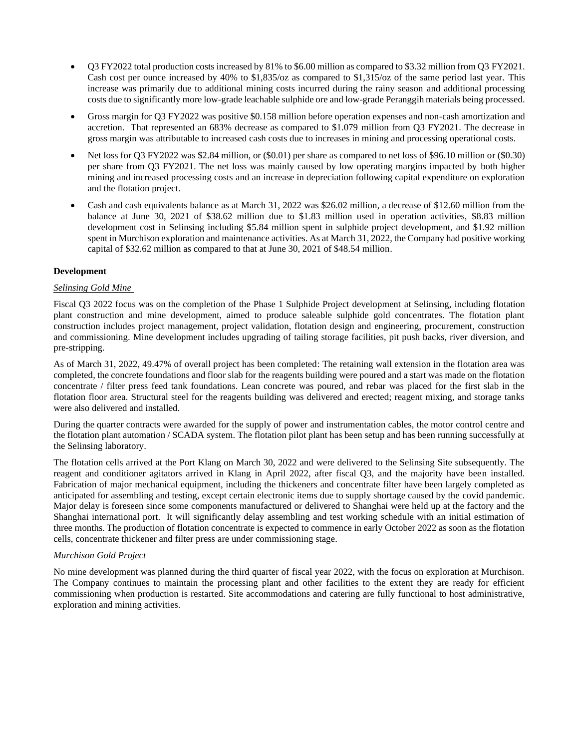- Q3 FY2022 total production costs increased by 81% to \$6.00 million as compared to \$3.32 million from Q3 FY2021. Cash cost per ounce increased by 40% to \$1,835/oz as compared to \$1,315/oz of the same period last year. This increase was primarily due to additional mining costs incurred during the rainy season and additional processing costs due to significantly more low-grade leachable sulphide ore and low-grade Peranggih materials being processed.
- Gross margin for Q3 FY2022 was positive \$0.158 million before operation expenses and non-cash amortization and accretion. That represented an 683% decrease as compared to \$1.079 million from Q3 FY2021. The decrease in gross margin was attributable to increased cash costs due to increases in mining and processing operational costs.
- Net loss for Q3 FY2022 was \$2.84 million, or (\$0.01) per share as compared to net loss of \$96.10 million or (\$0.30) per share from Q3 FY2021. The net loss was mainly caused by low operating margins impacted by both higher mining and increased processing costs and an increase in depreciation following capital expenditure on exploration and the flotation project.
- Cash and cash equivalents balance as at March 31, 2022 was \$26.02 million, a decrease of \$12.60 million from the balance at June 30, 2021 of \$38.62 million due to \$1.83 million used in operation activities, \$8.83 million development cost in Selinsing including \$5.84 million spent in sulphide project development, and \$1.92 million spent in Murchison exploration and maintenance activities. As at March 31, 2022, the Company had positive working capital of \$32.62 million as compared to that at June 30, 2021 of \$48.54 million.

## **Development**

## *Selinsing Gold Mine*

Fiscal Q3 2022 focus was on the completion of the Phase 1 Sulphide Project development at Selinsing, including flotation plant construction and mine development, aimed to produce saleable sulphide gold concentrates. The flotation plant construction includes project management, project validation, flotation design and engineering, procurement, construction and commissioning. Mine development includes upgrading of tailing storage facilities, pit push backs, river diversion, and pre-stripping.

As of March 31, 2022, 49.47% of overall project has been completed: The retaining wall extension in the flotation area was completed, the concrete foundations and floor slab for the reagents building were poured and a start was made on the flotation concentrate / filter press feed tank foundations. Lean concrete was poured, and rebar was placed for the first slab in the flotation floor area. Structural steel for the reagents building was delivered and erected; reagent mixing, and storage tanks were also delivered and installed.

During the quarter contracts were awarded for the supply of power and instrumentation cables, the motor control centre and the flotation plant automation / SCADA system. The flotation pilot plant has been setup and has been running successfully at the Selinsing laboratory.

The flotation cells arrived at the Port Klang on March 30, 2022 and were delivered to the Selinsing Site subsequently. The reagent and conditioner agitators arrived in Klang in April 2022, after fiscal Q3, and the majority have been installed. Fabrication of major mechanical equipment, including the thickeners and concentrate filter have been largely completed as anticipated for assembling and testing, except certain electronic items due to supply shortage caused by the covid pandemic. Major delay is foreseen since some components manufactured or delivered to Shanghai were held up at the factory and the Shanghai international port. It will significantly delay assembling and test working schedule with an initial estimation of three months. The production of flotation concentrate is expected to commence in early October 2022 as soon as the flotation cells, concentrate thickener and filter press are under commissioning stage.

#### *Murchison Gold Project*

No mine development was planned during the third quarter of fiscal year 2022, with the focus on exploration at Murchison. The Company continues to maintain the processing plant and other facilities to the extent they are ready for efficient commissioning when production is restarted. Site accommodations and catering are fully functional to host administrative, exploration and mining activities.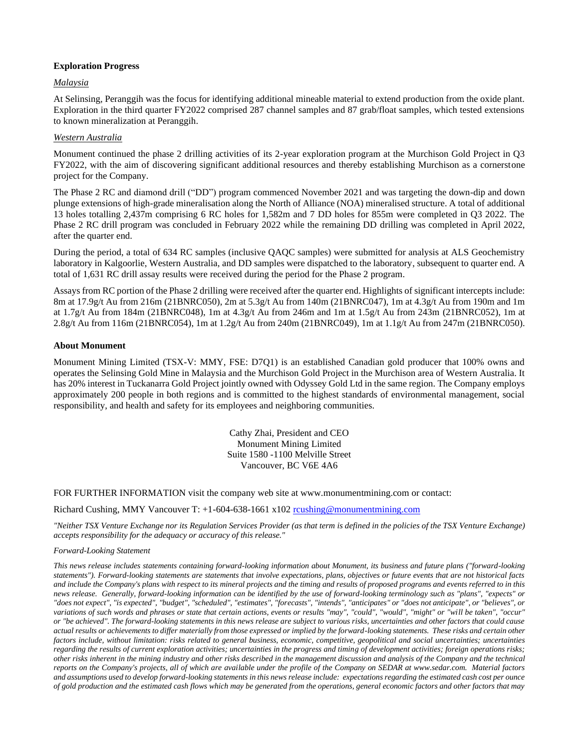## **Exploration Progress**

## *Malaysia*

At Selinsing, Peranggih was the focus for identifying additional mineable material to extend production from the oxide plant. Exploration in the third quarter FY2022 comprised 287 channel samples and 87 grab/float samples, which tested extensions to known mineralization at Peranggih.

## *Western Australia*

Monument continued the phase 2 drilling activities of its 2-year exploration program at the Murchison Gold Project in Q3 FY2022, with the aim of discovering significant additional resources and thereby establishing Murchison as a cornerstone project for the Company.

The Phase 2 RC and diamond drill ("DD") program commenced November 2021 and was targeting the down-dip and down plunge extensions of high-grade mineralisation along the North of Alliance (NOA) mineralised structure. A total of additional 13 holes totalling 2,437m comprising 6 RC holes for 1,582m and 7 DD holes for 855m were completed in Q3 2022. The Phase 2 RC drill program was concluded in February 2022 while the remaining DD drilling was completed in April 2022, after the quarter end.

During the period, a total of 634 RC samples (inclusive QAQC samples) were submitted for analysis at ALS Geochemistry laboratory in Kalgoorlie, Western Australia, and DD samples were dispatched to the laboratory, subsequent to quarter end. A total of 1,631 RC drill assay results were received during the period for the Phase 2 program.

Assays from RC portion of the Phase 2 drilling were received after the quarter end. Highlights of significant intercepts include: 8m at 17.9g/t Au from 216m (21BNRC050), 2m at 5.3g/t Au from 140m (21BNRC047), 1m at 4.3g/t Au from 190m and 1m at 1.7g/t Au from 184m (21BNRC048), 1m at 4.3g/t Au from 246m and 1m at 1.5g/t Au from 243m (21BNRC052), 1m at 2.8g/t Au from 116m (21BNRC054), 1m at 1.2g/t Au from 240m (21BNRC049), 1m at 1.1g/t Au from 247m (21BNRC050).

## **About Monument**

Monument Mining Limited (TSX-V: MMY, FSE: D7Q1) is an established Canadian gold producer that 100% owns and operates the Selinsing Gold Mine in Malaysia and the Murchison Gold Project in the Murchison area of Western Australia. It has 20% interest in Tuckanarra Gold Project jointly owned with Odyssey Gold Ltd in the same region. The Company employs approximately 200 people in both regions and is committed to the highest standards of environmental management, social responsibility, and health and safety for its employees and neighboring communities.

> Cathy Zhai, President and CEO Monument Mining Limited Suite 1580 -1100 Melville Street Vancouver, BC V6E 4A6

FOR FURTHER INFORMATION visit the company web site at www.monumentmining.com or contact:

## Richard Cushing, MMY Vancouver T: +1-604-638-1661 x102 [rcushing@monumentmining.com](mailto:rcushing@monumentmining.com)

*"Neither TSX Venture Exchange nor its Regulation Services Provider (as that term is defined in the policies of the TSX Venture Exchange) accepts responsibility for the adequacy or accuracy of this release."* 

#### *Forward-Looking Statement*

*This news release includes statements containing forward-looking information about Monument, its business and future plans ("forward-looking statements"). Forward-looking statements are statements that involve expectations, plans, objectives or future events that are not historical facts and include the Company's plans with respect to its mineral projects and the timing and results of proposed programs and events referred to in this news release. Generally, forward-looking information can be identified by the use of forward-looking terminology such as "plans", "expects" or "does not expect", "is expected", "budget", "scheduled", "estimates", "forecasts", "intends", "anticipates" or "does not anticipate", or "believes", or variations of such words and phrases or state that certain actions, events or results "may", "could", "would", "might" or "will be taken", "occur" or "be achieved". The forward-looking statements in this news release are subject to various risks, uncertainties and other factors that could cause actual results or achievements to differ materially from those expressed or implied by the forward-looking statements. These risks and certain other*  factors include, without limitation: risks related to general business, economic, competitive, geopolitical and social uncertainties; uncertainties *regarding the results of current exploration activities; uncertainties in the progress and timing of development activities; foreign operations risks; other risks inherent in the mining industry and other risks described in the management discussion and analysis of the Company and the technical reports on the Company's projects, all of which are available under the profile of the Company on SEDAR at www.sedar.com. Material factors and assumptions used to develop forward-looking statements in this news release include: expectations regarding the estimated cash cost per ounce of gold production and the estimated cash flows which may be generated from the operations, general economic factors and other factors that may*